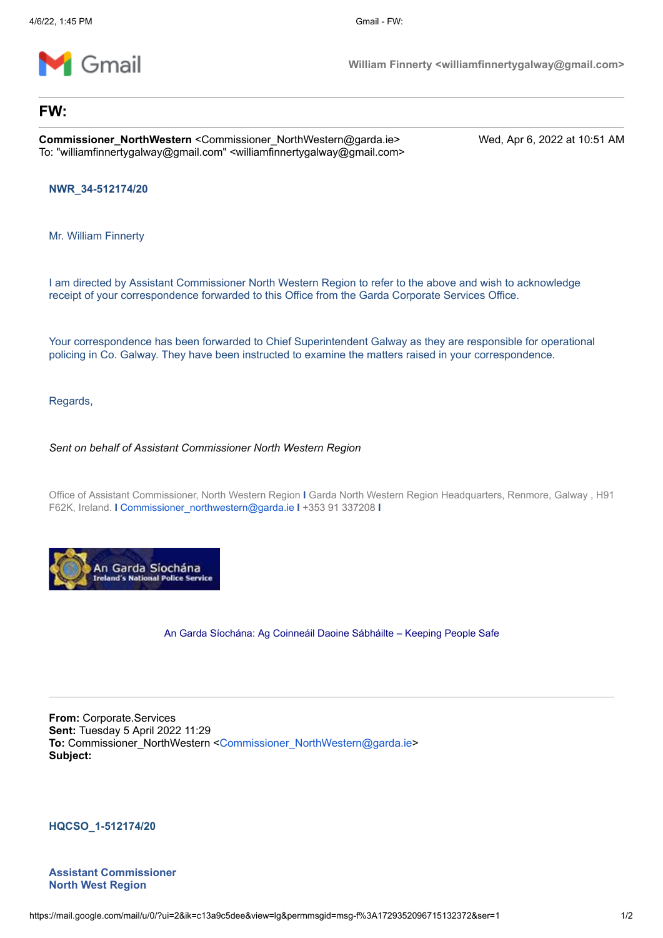

**William Finnerty <williamfinnertygalway@gmail.com>**

## **FW:**

**Commissioner\_NorthWestern** <Commissioner\_NorthWestern@garda.ie> Wed, Apr 6, 2022 at 10:51 AM To: "williamfinnertygalway@gmail.com" <williamfinnertygalway@gmail.com>

**NWR\_34-512174/20**

Mr. William Finnerty

I am directed by Assistant Commissioner North Western Region to refer to the above and wish to acknowledge receipt of your correspondence forwarded to this Office from the Garda Corporate Services Office.

Your correspondence has been forwarded to Chief Superintendent Galway as they are responsible for operational policing in Co. Galway. They have been instructed to examine the matters raised in your correspondence.

Regards,

*Sent on behalf of Assistant Commissioner North Western Region*

Office of Assistant Commissioner, North Western Region **I** Garda North Western Region Headquarters, Renmore, Galway , H91 F62K, Ireland. **I** [Commissioner\\_northwestern@garda.ie](mailto:Commissioner_northwestern@garda.ie) **I** +353 91 337208 **I**



An Garda Síochána: Ag Coinneáil Daoine Sábháilte – Keeping People Safe

**From:** Corporate.Services **Sent:** Tuesday 5 April 2022 11:29 **To:** Commissioner\_NorthWestern [<Commissioner\\_NorthWestern@garda.ie](mailto:Commissioner_NorthWestern@garda.ie)> **Subject:**

**HQCSO\_1-512174/20**

**Assistant Commissioner North West Region**